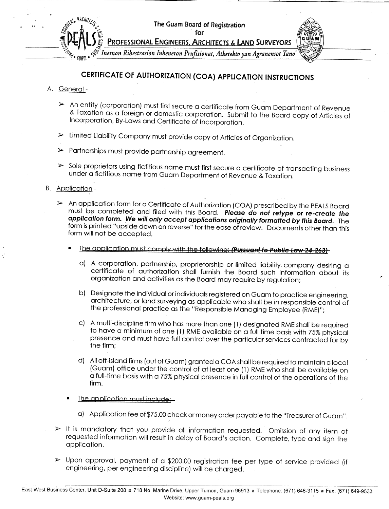

## **CERTIFICATE OF AUTHORIZATION (COA) APPLICATION INSTRUCTIONS**

- A. General-
	- ~- An entity (corporation) must first secure a certificate from Guam Department of Revenue & Taxation as a foreign or domestic corporation. Submit to the Board copy of Articles of Incorporation, By-Laws and Certificate of Incorporation.
	- ~- Limited Liability Company must provide copy of Articles of Organization.
	- $\triangleright$  Partnerships must provide partnership agreement.
	- ~- Sole proprietors using fictitious name must first secure a certificate of transacting business under a fictitious name from Guam Department of Revenue & Taxation.

## B. Application -

- ~- An application form for a Certificate of Authorization (COA) prescribed by the PEALS Board must be completed and filed with this Board. **Please do not retype or re-create the application form. We will only accept applications originally formatted by this Board.** The form is printed "upside down on reverse" for the ease of review. Documents other than this form will not be accepted.
	- The application must comply with the following: **(Pursuant to Public Law 24-263)** 
		- a) A corporation, partnership, proprietorship or limited liability company desiring a certificate of authorization shall furnish the Board such information about its organization and activities as the Board may require by regulation;
		- b) Designate the individual orindividuals registered on Guam to practice engineering, architecture, or land surveying as applicable who shall be in responsible control of the professional practice as the "Responsible Managing Employee (RME)";
		- c) A multi-discipline firm who has more than one (1) designated RME shall be required to have a minimum of one (1) RME available on a full time basis with 75% physical presence and must have full control over the particular services contracted for by the firm;
		- d) All off-island firms (out of Guam) granted a COA shall be required to maintain a local (Guam) office under the control of at least one (1) RME who shall be available on a full-time basis with a 75% physical presence in full control of the operations of the firm.
	- The application must include:
		- a) Application feeof \$75.00 check ormoney order payable to the "Treasurer of Guam".
- $\triangleright$  It is mandatory that you provide all information requested. Omission of any item of requested information will result in delay of Board's action. Complete, type and sign the application.
- $>$  Upon approval, payment of a \$200.00 registration fee per type of service provided (if engineering, per engineering discipline) will be charged.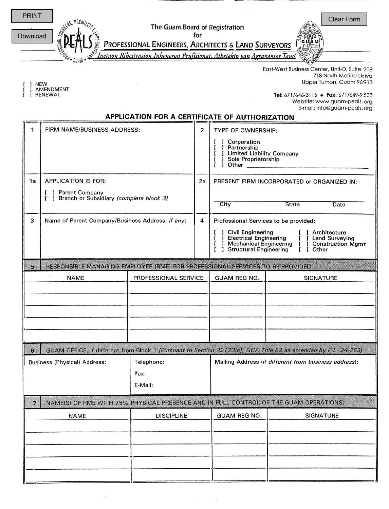

] NEW<br>] AMENDMENT<br>] RENEWAL

East-West Business center, unit-D, Suite 208 718 North Marine Drive Upper Tumon, Guam 96913

I RENEWAL **Tel: 6711646-3115 • Fax:** 6711649-9533 Website: www.guam-peais.org E-mail: info@guam-peais.org

**APPLICATION FOR A CERTIFICATE OF AUTHORIZATION**

| FIRM NAME/BUSINESS ADDRESS:<br>1                                                            |                                                  |                   | $\overline{2}$ | TYPE OF OWNERSHIP:                                                                                                                                                                       |                                                                                                                |  |  |  |  |
|---------------------------------------------------------------------------------------------|--------------------------------------------------|-------------------|----------------|------------------------------------------------------------------------------------------------------------------------------------------------------------------------------------------|----------------------------------------------------------------------------------------------------------------|--|--|--|--|
|                                                                                             |                                                  |                   |                | 1 Corporation<br>] Partnership<br><b>J</b> Limited Liability Company<br><b>J</b> Sole Proprietorship<br>$\overline{\mathbf{i}}$ $\overline{\mathbf{j}}$ Other $\overline{\mathbf{j}}$    |                                                                                                                |  |  |  |  |
| 1a                                                                                          | <b>APPLICATION IS FOR:</b>                       |                   | 2a             | PRESENT FIRM INCORPORATED or ORGANIZED IN:                                                                                                                                               |                                                                                                                |  |  |  |  |
| [ ] Parent Company                                                                          |                                                  |                   |                |                                                                                                                                                                                          |                                                                                                                |  |  |  |  |
|                                                                                             | [ ] Branch or Subsidiary (complete block 3)      |                   |                | City                                                                                                                                                                                     | <b>State</b><br>Date                                                                                           |  |  |  |  |
| 3                                                                                           | Name of Parent Company/Business Address, if any: |                   |                | Professional Services to be provided:                                                                                                                                                    |                                                                                                                |  |  |  |  |
|                                                                                             |                                                  |                   |                | <b>J</b> Civil Engineering<br>[ ] Architecture<br>J Electrical Engineering [76] Land Surveying<br>1 Mechanical Engineering [76] Construction Mgmt<br>Structural Engineering<br>[ ] Other |                                                                                                                |  |  |  |  |
| RESPONSIBLE MANAGING EMPLOYEE (RME) FOR PROFESSIONAL SERVICES TO BE PROVIDED:<br>5.         |                                                  |                   |                |                                                                                                                                                                                          |                                                                                                                |  |  |  |  |
|                                                                                             | PROFESSIONAL SERVICE<br><b>NAME</b>              |                   |                | <b>GUAM REG NO.</b><br><b>SIGNATURE</b>                                                                                                                                                  |                                                                                                                |  |  |  |  |
|                                                                                             |                                                  |                   |                |                                                                                                                                                                                          |                                                                                                                |  |  |  |  |
|                                                                                             |                                                  |                   |                |                                                                                                                                                                                          |                                                                                                                |  |  |  |  |
|                                                                                             |                                                  |                   |                |                                                                                                                                                                                          |                                                                                                                |  |  |  |  |
|                                                                                             |                                                  |                   |                |                                                                                                                                                                                          |                                                                                                                |  |  |  |  |
|                                                                                             |                                                  |                   |                |                                                                                                                                                                                          |                                                                                                                |  |  |  |  |
| G.                                                                                          |                                                  |                   |                |                                                                                                                                                                                          | GUAM OFFICE, if different from Block 1: (Pursuant to Section 32123(c), GCA Title 22 as amended by P.L. 24-263) |  |  |  |  |
| <b>Business (Physical) Address:</b>                                                         |                                                  | Telephone:        |                | Mailing Address (if different from business address):                                                                                                                                    |                                                                                                                |  |  |  |  |
|                                                                                             |                                                  | Fax:              |                |                                                                                                                                                                                          |                                                                                                                |  |  |  |  |
| E-Mail:                                                                                     |                                                  |                   |                |                                                                                                                                                                                          |                                                                                                                |  |  |  |  |
| NAME(S) OF RME WITH 75% PHYSICAL PRESENCE AND IN FULL CONTROL OF THE GUAM OPERATIONS:<br>7. |                                                  |                   |                |                                                                                                                                                                                          |                                                                                                                |  |  |  |  |
| <b>NAME</b>                                                                                 |                                                  | <b>DISCIPLINE</b> |                | GUAM REG NO.                                                                                                                                                                             | SIGNATURE                                                                                                      |  |  |  |  |
|                                                                                             |                                                  |                   |                |                                                                                                                                                                                          |                                                                                                                |  |  |  |  |
|                                                                                             |                                                  |                   |                |                                                                                                                                                                                          |                                                                                                                |  |  |  |  |
|                                                                                             |                                                  |                   |                |                                                                                                                                                                                          |                                                                                                                |  |  |  |  |
|                                                                                             |                                                  |                   |                |                                                                                                                                                                                          |                                                                                                                |  |  |  |  |
|                                                                                             |                                                  |                   |                |                                                                                                                                                                                          |                                                                                                                |  |  |  |  |